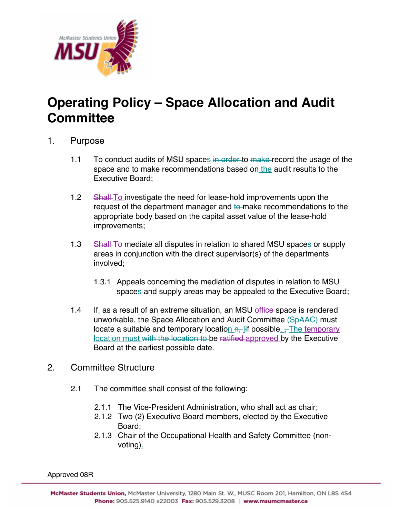

## **Operating Policy – Space Allocation and Audit Committee**

## 1. Purpose

- 1.1 To conduct audits of MSU spaces in order to make record the usage of the space and to make recommendations based on the audit results to the Executive Board;
- 1.2 Shall-To investigate the need for lease-hold improvements upon the request of the department manager and to make recommendations to the appropriate body based on the capital asset value of the lease-hold improvements;
- 1.3 Shall-To mediate all disputes in relation to shared MSU spaces or supply areas in conjunction with the direct supervisor(s) of the departments involved;
	- 1.3.1 Appeals concerning the mediation of disputes in relation to MSU spaces and supply areas may be appealed to the Executive Board;
- 1.4 If, as a result of an extreme situation, an MSU effice space is rendered unworkable, the Space Allocation and Audit Committee (SpAAC) must locate a suitable and temporary location  $n$ , lif possible.  $\frac{1}{n}$  The temporary location must with the location to be ratified approved by the Executive Board at the earliest possible date.
- 2. Committee Structure
	- 2.1 The committee shall consist of the following:
		- 2.1.1 The Vice-President Administration, who shall act as chair;
		- 2.1.2 Two (2) Executive Board members, elected by the Executive Board;
		- 2.1.3 Chair of the Occupational Health and Safety Committee (nonvoting).

Approved 08R